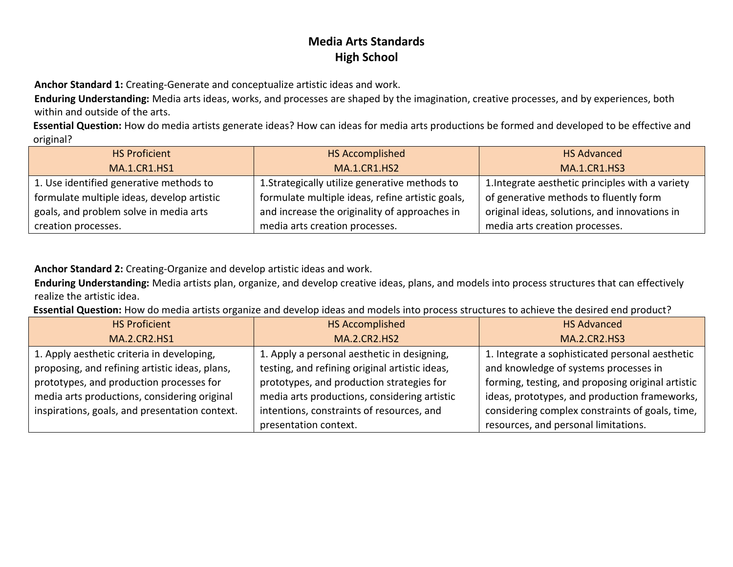**Anchor Standard 1:** Creating-Generate and conceptualize artistic ideas and work.

**Enduring Understanding:** Media arts ideas, works, and processes are shaped by the imagination, creative processes, and by experiences, both within and outside of the arts.

**Essential Question:** How do media artists generate ideas? How can ideas for media arts productions be formed and developed to be effective and original?

| <b>HS Proficient</b>                       | <b>HS Accomplished</b>                           | <b>HS Advanced</b>                               |
|--------------------------------------------|--------------------------------------------------|--------------------------------------------------|
| <b>MA.1.CR1.HS1</b>                        | <b>MA.1.CR1.HS2</b>                              | <b>MA.1.CR1.HS3</b>                              |
| 1. Use identified generative methods to    | 1. Strategically utilize generative methods to   | 1. Integrate aesthetic principles with a variety |
| formulate multiple ideas, develop artistic | formulate multiple ideas, refine artistic goals, | of generative methods to fluently form           |
| goals, and problem solve in media arts     | and increase the originality of approaches in    | original ideas, solutions, and innovations in    |
| creation processes.                        | media arts creation processes.                   | media arts creation processes.                   |

#### **Anchor Standard 2:** Creating-Organize and develop artistic ideas and work.

**Enduring Understanding:** Media artists plan, organize, and develop creative ideas, plans, and models into process structures that can effectively realize the artistic idea.

**Essential Question:** How do media artists organize and develop ideas and models into process structures to achieve the desired end product?

| <b>HS Proficient</b>                           | <b>HS Accomplished</b>                         | <b>HS Advanced</b>                                |
|------------------------------------------------|------------------------------------------------|---------------------------------------------------|
| <b>MA.2.CR2.HS1</b>                            | <b>MA.2.CR2.HS2</b>                            | <b>MA.2.CR2.HS3</b>                               |
| 1. Apply aesthetic criteria in developing,     | 1. Apply a personal aesthetic in designing,    | 1. Integrate a sophisticated personal aesthetic   |
| proposing, and refining artistic ideas, plans, | testing, and refining original artistic ideas, | and knowledge of systems processes in             |
| prototypes, and production processes for       | prototypes, and production strategies for      | forming, testing, and proposing original artistic |
| media arts productions, considering original   | media arts productions, considering artistic   | ideas, prototypes, and production frameworks,     |
| inspirations, goals, and presentation context. | intentions, constraints of resources, and      | considering complex constraints of goals, time,   |
|                                                | presentation context.                          | resources, and personal limitations.              |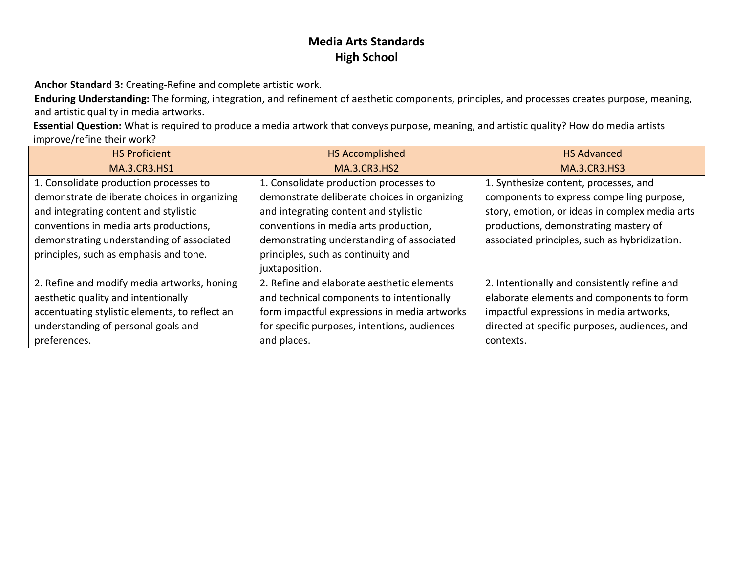**Anchor Standard 3:** Creating-Refine and complete artistic work.

**Enduring Understanding:** The forming, integration, and refinement of aesthetic components, principles, and processes creates purpose, meaning, and artistic quality in media artworks.

**Essential Question:** What is required to produce a media artwork that conveys purpose, meaning, and artistic quality? How do media artists improve/refine their work?

| <b>HS Proficient</b>                           | <b>HS Accomplished</b>                       | <b>HS Advanced</b>                             |
|------------------------------------------------|----------------------------------------------|------------------------------------------------|
| <b>MA.3.CR3.HS1</b>                            | <b>MA.3.CR3.HS2</b>                          | <b>MA.3.CR3.HS3</b>                            |
| 1. Consolidate production processes to         | 1. Consolidate production processes to       | 1. Synthesize content, processes, and          |
| demonstrate deliberate choices in organizing   | demonstrate deliberate choices in organizing | components to express compelling purpose,      |
| and integrating content and stylistic          | and integrating content and stylistic        | story, emotion, or ideas in complex media arts |
| conventions in media arts productions,         | conventions in media arts production,        | productions, demonstrating mastery of          |
| demonstrating understanding of associated      | demonstrating understanding of associated    | associated principles, such as hybridization.  |
| principles, such as emphasis and tone.         | principles, such as continuity and           |                                                |
|                                                | juxtaposition.                               |                                                |
| 2. Refine and modify media artworks, honing    | 2. Refine and elaborate aesthetic elements   | 2. Intentionally and consistently refine and   |
| aesthetic quality and intentionally            | and technical components to intentionally    | elaborate elements and components to form      |
| accentuating stylistic elements, to reflect an | form impactful expressions in media artworks | impactful expressions in media artworks,       |
| understanding of personal goals and            | for specific purposes, intentions, audiences | directed at specific purposes, audiences, and  |
| preferences.                                   | and places.                                  | contexts.                                      |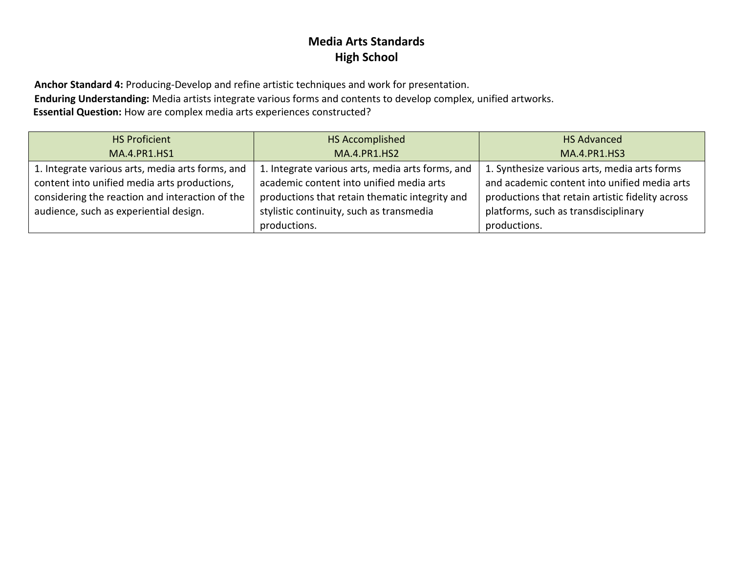**Anchor Standard 4:** Producing-Develop and refine artistic techniques and work for presentation.

**Enduring Understanding:** Media artists integrate various forms and contents to develop complex, unified artworks.

**Essential Question:** How are complex media arts experiences constructed?

| <b>HS Proficient</b>                             | HS Accomplished                                  | <b>HS Advanced</b>                               |
|--------------------------------------------------|--------------------------------------------------|--------------------------------------------------|
| <b>MA.4.PR1.HS1</b>                              | <b>MA.4.PR1.HS2</b>                              | <b>MA.4.PR1.HS3</b>                              |
| 1. Integrate various arts, media arts forms, and | 1. Integrate various arts, media arts forms, and | 1. Synthesize various arts, media arts forms     |
| content into unified media arts productions,     | academic content into unified media arts         | and academic content into unified media arts     |
| considering the reaction and interaction of the  | productions that retain thematic integrity and   | productions that retain artistic fidelity across |
| audience, such as experiential design.           | stylistic continuity, such as transmedia         | platforms, such as transdisciplinary             |
|                                                  | productions.                                     | productions.                                     |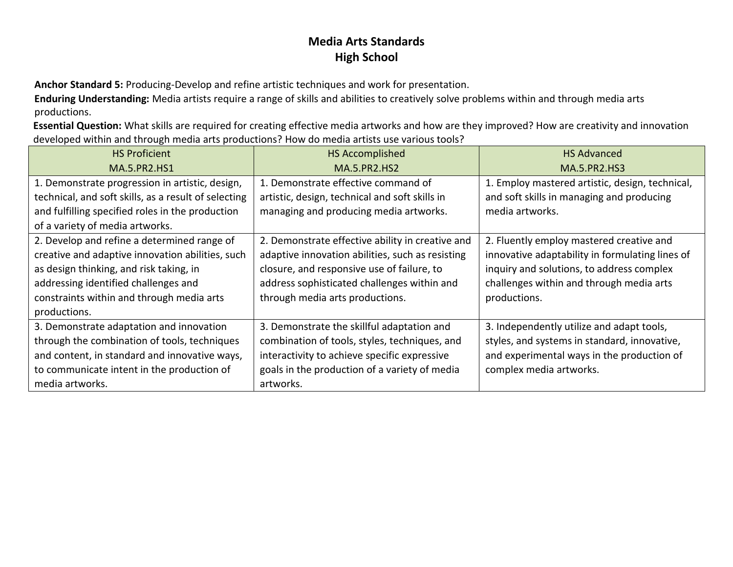**Anchor Standard 5:** Producing-Develop and refine artistic techniques and work for presentation.

**Enduring Understanding:** Media artists require a range of skills and abilities to creatively solve problems within and through media arts productions.

**Essential Question:** What skills are required for creating effective media artworks and how are they improved? How are creativity and innovation developed within and through media arts productions? How do media artists use various tools?

| <b>HS Proficient</b>                                 | <b>HS Accomplished</b>                           | <b>HS Advanced</b>                              |
|------------------------------------------------------|--------------------------------------------------|-------------------------------------------------|
| <b>MA.5.PR2.HS1</b>                                  | <b>MA.5.PR2.HS2</b>                              | <b>MA.5.PR2.HS3</b>                             |
| 1. Demonstrate progression in artistic, design,      | 1. Demonstrate effective command of              | 1. Employ mastered artistic, design, technical, |
| technical, and soft skills, as a result of selecting | artistic, design, technical and soft skills in   | and soft skills in managing and producing       |
| and fulfilling specified roles in the production     | managing and producing media artworks.           | media artworks.                                 |
| of a variety of media artworks.                      |                                                  |                                                 |
| 2. Develop and refine a determined range of          | 2. Demonstrate effective ability in creative and | 2. Fluently employ mastered creative and        |
| creative and adaptive innovation abilities, such     | adaptive innovation abilities, such as resisting | innovative adaptability in formulating lines of |
| as design thinking, and risk taking, in              | closure, and responsive use of failure, to       | inquiry and solutions, to address complex       |
| addressing identified challenges and                 | address sophisticated challenges within and      | challenges within and through media arts        |
| constraints within and through media arts            | through media arts productions.                  | productions.                                    |
| productions.                                         |                                                  |                                                 |
| 3. Demonstrate adaptation and innovation             | 3. Demonstrate the skillful adaptation and       | 3. Independently utilize and adapt tools,       |
| through the combination of tools, techniques         | combination of tools, styles, techniques, and    | styles, and systems in standard, innovative,    |
| and content, in standard and innovative ways,        | interactivity to achieve specific expressive     | and experimental ways in the production of      |
| to communicate intent in the production of           | goals in the production of a variety of media    | complex media artworks.                         |
| media artworks.                                      | artworks.                                        |                                                 |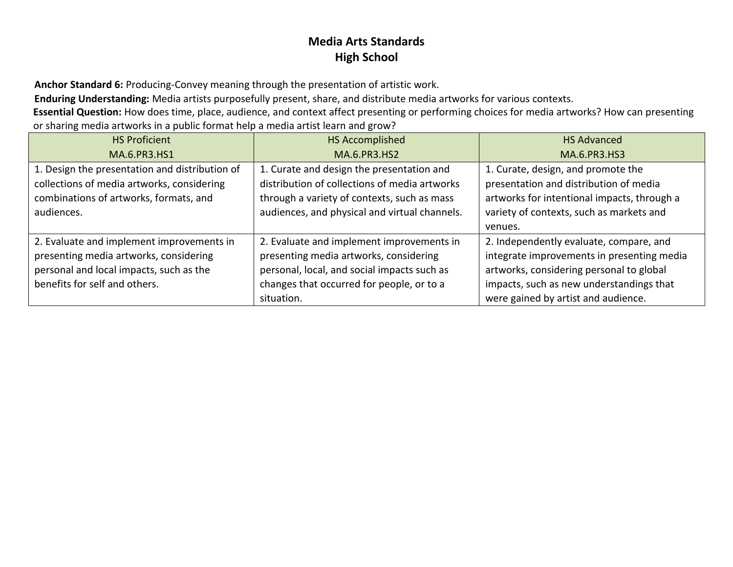**Anchor Standard 6:** Producing-Convey meaning through the presentation of artistic work.

**Enduring Understanding:** Media artists purposefully present, share, and distribute media artworks for various contexts.

**Essential Question:** How does time, place, audience, and context affect presenting or performing choices for media artworks? How can presenting or sharing media artworks in a public format help a media artist learn and grow?

| <b>HS Proficient</b>                           | HS Accomplished                               | <b>HS Advanced</b>                          |
|------------------------------------------------|-----------------------------------------------|---------------------------------------------|
| MA.6.PR3.HS1                                   | <b>MA.6.PR3.HS2</b>                           | MA.6.PR3.HS3                                |
| 1. Design the presentation and distribution of | 1. Curate and design the presentation and     | 1. Curate, design, and promote the          |
| collections of media artworks, considering     | distribution of collections of media artworks | presentation and distribution of media      |
| combinations of artworks, formats, and         | through a variety of contexts, such as mass   | artworks for intentional impacts, through a |
| audiences.                                     | audiences, and physical and virtual channels. | variety of contexts, such as markets and    |
|                                                |                                               | venues.                                     |
| 2. Evaluate and implement improvements in      | 2. Evaluate and implement improvements in     | 2. Independently evaluate, compare, and     |
| presenting media artworks, considering         | presenting media artworks, considering        | integrate improvements in presenting media  |
| personal and local impacts, such as the        | personal, local, and social impacts such as   | artworks, considering personal to global    |
| benefits for self and others.                  | changes that occurred for people, or to a     | impacts, such as new understandings that    |
|                                                | situation.                                    | were gained by artist and audience.         |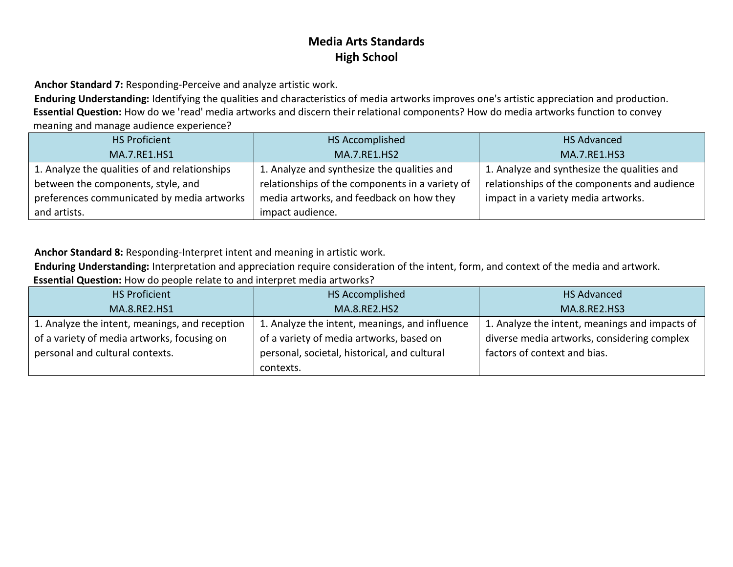**Anchor Standard 7:** Responding-Perceive and analyze artistic work.

**Enduring Understanding:** Identifying the qualities and characteristics of media artworks improves one's artistic appreciation and production. **Essential Question:** How do we 'read' media artworks and discern their relational components? How do media artworks function to convey meaning and manage audience experience?

| <b>HS Proficient</b>                          | HS Accomplished                                 | <b>HS Advanced</b>                           |
|-----------------------------------------------|-------------------------------------------------|----------------------------------------------|
| MA.7.RE1.HS1                                  | <b>MA.7.RE1.HS2</b>                             | MA.7.RE1.HS3                                 |
| 1. Analyze the qualities of and relationships | 1. Analyze and synthesize the qualities and     | 1. Analyze and synthesize the qualities and  |
| between the components, style, and            | relationships of the components in a variety of | relationships of the components and audience |
| preferences communicated by media artworks    | media artworks, and feedback on how they        | impact in a variety media artworks.          |
| and artists.                                  | impact audience.                                |                                              |

**Anchor Standard 8:** Responding-Interpret intent and meaning in artistic work.

**Enduring Understanding:** Interpretation and appreciation require consideration of the intent, form, and context of the media and artwork. **Essential Question:** How do people relate to and interpret media artworks?

| <b>HS Proficient</b>                           | HS Accomplished                                | <b>HS Advanced</b>                             |
|------------------------------------------------|------------------------------------------------|------------------------------------------------|
| MA.8.RE2.HS1                                   | MA.8.RE2.HS2                                   | MA.8.RE2.HS3                                   |
| 1. Analyze the intent, meanings, and reception | 1. Analyze the intent, meanings, and influence | 1. Analyze the intent, meanings and impacts of |
| of a variety of media artworks, focusing on    | of a variety of media artworks, based on       | diverse media artworks, considering complex    |
| personal and cultural contexts.                | personal, societal, historical, and cultural   | factors of context and bias.                   |
|                                                | contexts.                                      |                                                |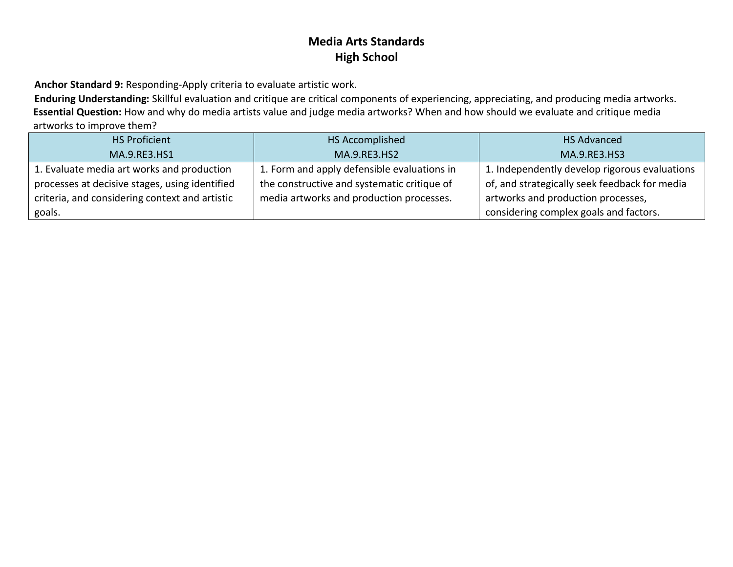**Anchor Standard 9:** Responding-Apply criteria to evaluate artistic work.

**Enduring Understanding:** Skillful evaluation and critique are critical components of experiencing, appreciating, and producing media artworks. **Essential Question:** How and why do media artists value and judge media artworks? When and how should we evaluate and critique media artworks to improve them?

| <b>HS Proficient</b>                           | HS Accomplished                             | <b>HS Advanced</b>                            |
|------------------------------------------------|---------------------------------------------|-----------------------------------------------|
| MA.9.RE3.HS1                                   | MA.9.RE3.HS2                                | MA.9.RE3.HS3                                  |
| 1. Evaluate media art works and production     | 1. Form and apply defensible evaluations in | 1. Independently develop rigorous evaluations |
| processes at decisive stages, using identified | the constructive and systematic critique of | of, and strategically seek feedback for media |
| criteria, and considering context and artistic | media artworks and production processes.    | artworks and production processes,            |
| goals.                                         |                                             | considering complex goals and factors.        |